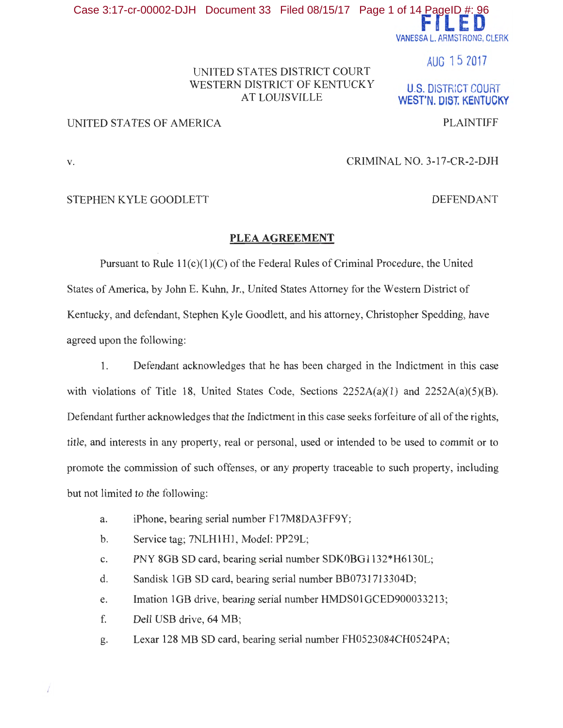**Fl LED**  VANESSA L. ARMSTRONG, CLERK Case 3:17-cr-00002-DJH Document 33 Filed 08/15/17 Page 1 of 14 PageID #: 96

AUG 1 5 2017

**U.S. DISTRICT COURT WEST'N. OISt KENTUCKY** 

# UNITED STATES DISTRICT COURT WESTERN DISTRICT OF KENTUCKY AT LOUISVILLE

# UNITED STATES OF AMERICA PLAINTIFF

## v. CRIMINAL NO. 3-17-CR-2-DJH

### STEPHEN KYLE GOODLETT DEFENDANT

### **PLEA AGREEMENT**

Pursuant to Rule 11(c)(1)(C) of the Federal Rules of Criminal Procedure, the United States of America, by John E. Kuhn, Jr., United States Attorney for the Western District of Kentucky, and defendant, Stephen Kyle Goodlett, and his attorney, Christopher Spedding, have agreed upon the following:

1. Defendant acknowledges that he has been charged in the Indictment in this case with violations of Title 18, United States Code, Sections  $2252A(a)(1)$  and  $2252A(a)(5)(B)$ . Defendant further acknowledges that the Indictment in this case seeks forfeiture of all of the rights, title, and interests in any property, real or personal, used or intended to be used to commit or to promote the commission of such offenses, or any property traceable to such property, including but not limited to the following:

- a. iPhone, bearing serial number Fl 7M8DA3FF9Y;
- b. Service tag; 7NLH1H1, Model: PP29L;
- c. PNY 8GB SD card, bearing serial number SDKOBGl 132\*H6130L;
- d. Sandisk 1GB SD card, bearing serial number BB0731713304D;
- e. Imation 1GB drive, bearing serial number HMDS01GCED900033213;
- f. Dell USB drive, 64 MB;
- g. Lexar 128 MB SD card, bearing serial number FH0523084CH0524PA;

 $\sqrt{2}$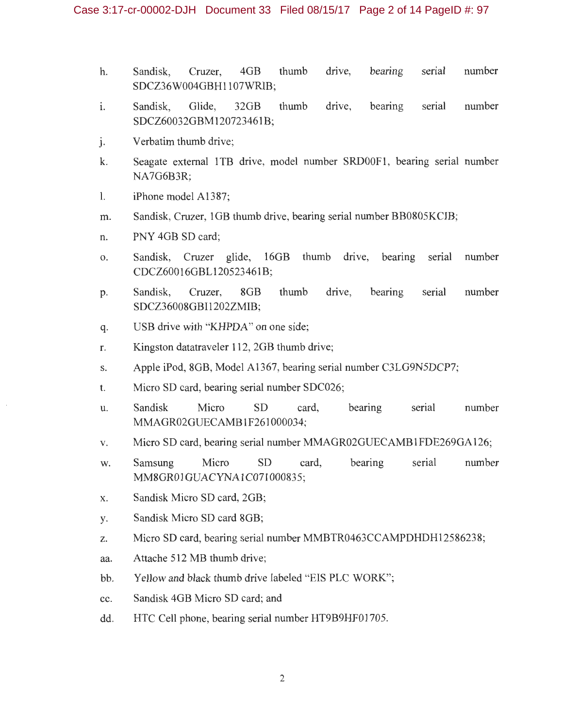- h. Sandisk, Cruzer, 4GB thumb drive, bearing serial number SDCZ36W004GBH1107WRIB;
- 1. Sandisk, Glide, 32GB thumb drive, bearing serial number SDCZ60032GBM120723461B;
- j. Verbatim thumb drive;
- k. Seagate external 1TB drive, model number SRD00F1, bearing serial number NA7G6B3R;
- 1. iPhone model A1387;
- m. Sandisk, Cruzer, 1GB thumb drive, bearing serial number BB0805KCIB;
- n. PNY 4GB SD card;
- 0. San disk, Cruzer glide, 16GB thumb drive, bearing serial number CDCZ60016GBL120523461B;
- p. Sandisk, Cruzer, 8GB thumb drive, bearing serial number SDCZ3 6008GBI1202ZMIB;
- q. USB drive with "KHPDA" on one side;
- r. Kingston datatraveler 112, 2GB thumb drive;
- s. Apple iPod, 8GB, Model A1367, bearing serial number C3LG9N5DCP7;
- t. Micro SD card, bearing serial number SDC026;
- u. Sandisk Micro SD card, bearing serial number MMAGR02GUECAMB 1F261000034;
- v. Micro SD card, bearing serial number MMAGR02GUECAMB1FDE269GA126;
- w. Samsung Micro SD card, bearing serial number MM8GR01GUACYNA1C071000835;
- x. Sandisk Micro SD card, 2GB;
- y. Sandisk Micro SD card 8GB;
- z. Micro SD card, bearing serial number MMBTR0463CCAMPDHDH12586238;
- aa. Attache 512 MB thumb drive;
- bb. Yellow and black thumb drive labeled "EIS PLC WORK";
- cc. Sandisk 4GB Micro SD card; and
- dd. HTC Cell phone, bearing serial number HT9B9HF01705.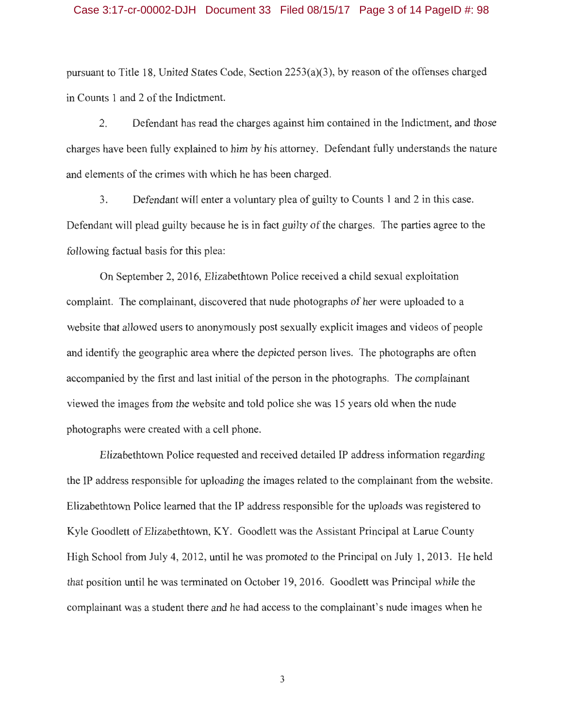#### Case 3:17-cr-00002-DJH Document 33 Filed 08/15/17 Page 3 of 14 PageID #: 98

pursuant to Title 18, United States Code, Section 2253(a)(3), by reason of the offenses charged in Counts 1 and 2 of the Indictment.

2. Defendant has read the charges against him contained in the Indictment, and those charges have been fully explained to him by his attorney. Defendant fully understands the nature and elements of the crimes with which he has been charged.

3. Defendant will enter a voluntary plea of guilty to Counts 1 and 2 in this case. Defendant will plead guilty because he is in fact guilty of the charges. The parties agree to the following factual basis for this plea:

On September 2, 2016, Elizabethtown Police received a child sexual exploitation complaint. The complainant, discovered that nude photographs of her were uploaded to a website that allowed users to anonymously post sexually explicit images and videos of people and identify the geographic area where the depicted person lives. The photographs are often accompanied by the first and last initial of the person in the photographs. The complainant viewed the images from the website and told police she was 15 years old when the nude photographs were created with a cell phone.

Elizabethtown Police requested and received detailed IP address information regarding the IP address responsible for uploading the images related to the complainant from the website. Elizabethtown Police learned that the IP address responsible for the uploads was registered to Kyle Goodlett of Elizabethtown, KY. Goodlett was the Assistant Principal at Larue County High School from July 4, 2012, until he was promoted to the Principal on July 1, 2013. He held that position until he was terminated on October 19, 2016. Goodlett was Principal while the complainant was a student there and he had access to the complainant's nude images when he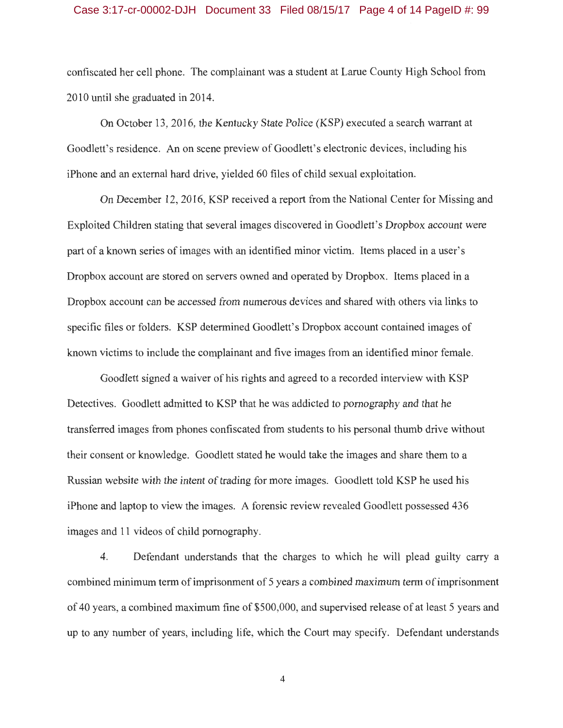#### Case 3:17-cr-00002-DJH Document 33 Filed 08/15/17 Page 4 of 14 PageID #: 99

confiscated her cell phone. The complainant was a student at Larue County High School from 2010 until she graduated in 2014.

On October 13, 2016, the Kentucky State Police (KSP) executed a search warrant at Goodlett's residence. An on scene preview of Goodlett's electronic devices, including his iPhone and an external hard drive, yielded 60 files of child sexual exploitation.

On December 12, 2016, KSP received a report from the National Center for Missing and Exploited Children stating that several images discovered in Goodlett's Dropbox account were part of a known series of images with an identified minor victim. Items placed in a user's Dropbox account are stored on servers owned and operated by Dropbox. Items placed in a Dropbox account can be accessed from numerous devices and shared with others via links to specific files or folders. KSP determined Goodlett's Dropbox account contained images of known victims to include the complainant and five images from an identified minor female.

Goodlett signed a waiver of his rights and agreed to a recorded interview with KSP Detectives. Goodlett admitted to KSP that he was addicted to pornography and that he transferred images from phones confiscated from students to his personal thumb drive without their consent or knowledge. Goodlett stated he would take the images and share them to a Russian website with the intent of trading for more images. Goodlett told KSP he used his iPhone and laptop to view the images. A forensic review revealed Goodlett possessed 436 images and 11 videos of child pornography.

4. Defendant understands that the charges to which he will plead guilty carry a combined minimum term of imprisonment of 5 years a combined maximum term of imprisonment of 40 years, a combined maximum fine of \$500,000, and supervised release of at least 5 years and up to any number of years, including life, which the Court may specify. Defendant understands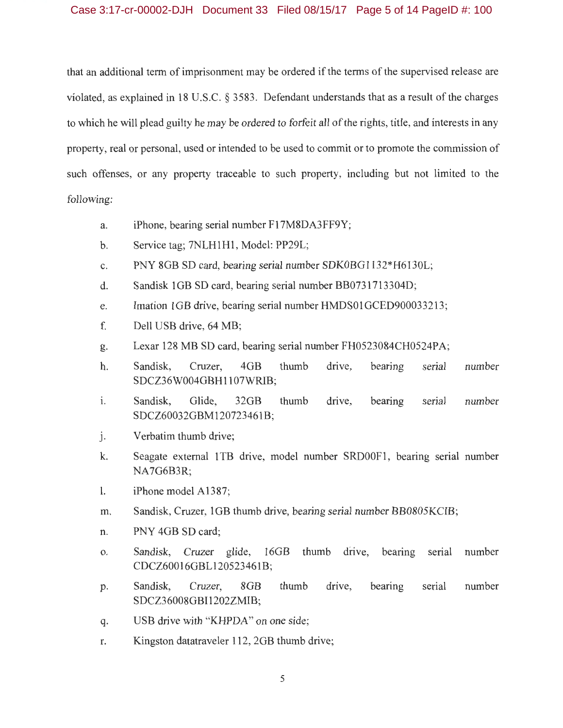## Case 3:17-cr-00002-DJH Document 33 Filed 08/15/17 Page 5 of 14 PageID #: 100

that an additional term of imprisonment may be ordered if the terms of the supervised release are violated, as explained in 18 U.S.C. § 3583. Defendant understands that as a result of the charges to which he will plead guilty he may be ordered to forfeit all of the rights, title, and interests in any property, real or personal, used or intended to be used to commit or to promote the commission of such offenses, or any property traceable to such property, including but not limited to the following:

a. iPhone, bearing serial number Fl 7M8DA3FF9Y;

- b. Service tag; 7NLH1H1, Model: PP29L;
- c. PNY 8GB SD card, bearing serial number SDKOBG1132\*H6130L;
- d. Sandisk 1 GB SD card, bearing serial number BB0731713304D;
- e. Imation 1GB drive, bearing serial number HMDS01GCED900033213;
- f. Dell USB drive, 64 MB;
- g. Lexar 128 MB SD card, bearing serial number FH0523084CH0524PA;
- h. Sandisk, Cruzer, 4GB thumb drive, bearing serial number SDCZ36W004GBH1107WRIB;
- 1. Sandisk, Glide, 32GB thumb drive, bearing serial number SDCZ60032GBM120723461B;
- J. Verbatim thumb drive;
- k. Seagate external 1TB drive, model number SRD00F1, bearing serial number NA7G6B3R;
- 1. iPhone model A1387;
- m. Sandisk, Cruzer, 1GB thumb drive, bearing serial number BB0805KCIB;
- n. PNY 4GB SD card;
- o. Sandisk, Cruzer glide, 16GB thumb drive, bearing serial number CDCZ60016GBL120523461B;
- p. Sandisk, Cruzer, 8GB thumb drive, bearing serial number SDCZ36008GBI1202ZMIB;
- q. USB drive with "KHPDA" on one side;
- r. Kingston datatraveler 112, 2GB thumb drive;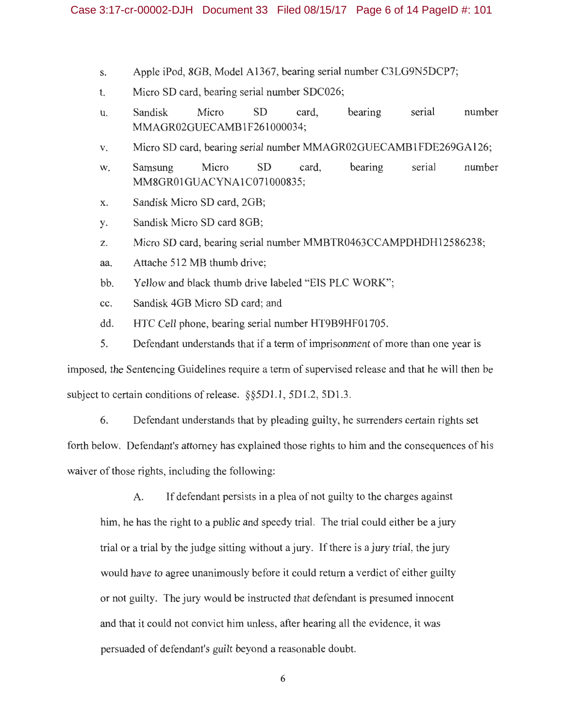- s. Apple iPod, 8GB, Model Al367, bearing serial number C3LG9N5DCP7;
- t. Micro SD card, bearing serial number SDC026;
- u. Sandisk Micro SD card, bearing serial number MMAGR02GUECAMB 1F261000034;
- v. Micro SD card, bearing serial number MMAGR02GUECAMB1FDE269GA126;
- w. Samsung Micro SD card, bearing serial number MM8GR01GUACYNA1C071000835 ;
- x. Sandisk Micro SD card, 2GB;
- y. Sandisk Micro SD card 8GB;
- z. Micro SD card, bearing serial number MMBTR0463CCAMPDHDH12586238;
- aa. Attache 512 MB thumb drive;
- bb. Yellow and black thumb drive labeled "EIS PLC WORK";
- cc. Sandisk 4GB Micro SD card; and
- dd. HTC Cell phone, bearing serial number HT9B9HF01705.
- 5. Defendant understands that if a term of imprisonment of more than one year is

imposed, the Sentencing Guidelines require a term of supervised release and that he will then be subject to certain conditions of release. §§5D1.1, 5D1.2, 5D1.3.

6. Defendant understands that by pleading guilty, he surrenders certain rights set forth below. Defendant's attorney has explained those rights to him and the consequences of his waiver of those rights, including the following:

A. If defendant persists in a plea of not guilty to the charges against him, he has the right to a public and speedy trial. The trial could either be a jury trial or a trial by the judge sitting without a jury. If there is a jury trial, the jury would have to agree unanimously before it could return a verdict of either guilty or not guilty. The jury would be instructed that defendant is presumed innocent and that it could not convict him unless, after hearing all the evidence, it was persuaded of defendant's guilt beyond a reasonable doubt.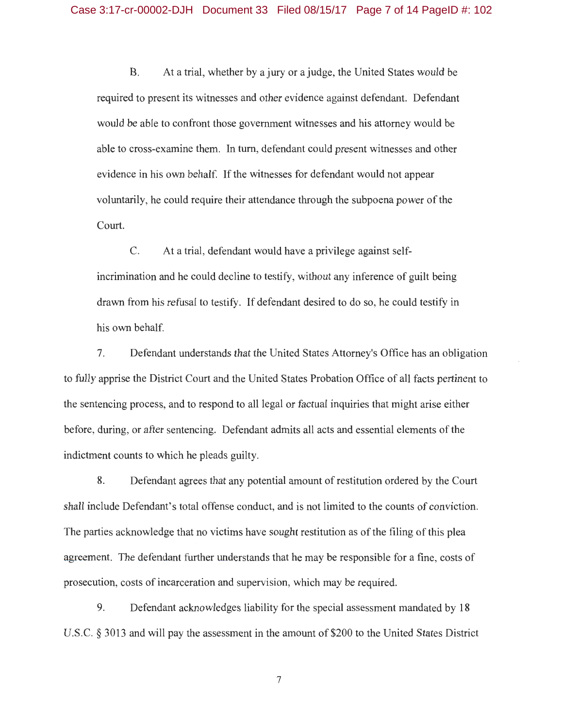B. At a trial, whether by a jury or a judge, the United States would be required to present its witnesses and other evidence against defendant. Defendant would be able to confront those government witnesses and his attorney would be able to cross-examine them. In turn, defendant could present witnesses and other evidence in his own behalf. If the witnesses for defendant would not appear voluntarily, he could require their attendance through the subpoena power of the Court.

C. At a trial, defendant would have a privilege against selfincrimination and he could decline to testify, without any inference of guilt being drawn from his refusal to testify. If defendant desired to do so, he could testify in his own behalf.

7. Defendant understands that the United States Attorney's Office has an obligation to fully apprise the District Court and the United States Probation Office of all facts pertinent to the sentencing process, and to respond to all legal or factual inquiries that might arise either before, during, or after sentencing. Defendant admits all acts and essential elements of the indictment counts to which he pleads guilty.

8. Defendant agrees that any potential amount of restitution ordered by the Court shall include Defendant's total offense conduct, and is not limited to the counts of conviction. The parties acknowledge that no victims have sought restitution as of the filing of this plea agreement. The defendant further understands that he may be responsible for a fine, costs of prosecution, costs of incarceration and supervision, which may be required.

9. Defendant acknowledges liability for the special assessment mandated by 18 U.S.C. § 3013 and will pay the assessment in the amount of \$200 to the United States District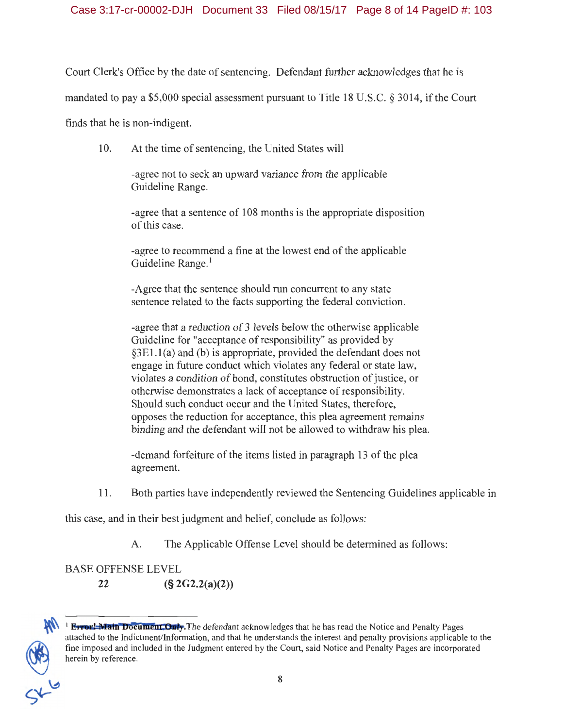Court Clerk's Office by the date of sentencing. Defendant further acknowledges that he is

mandated to pay a \$5,000 special assessment pursuant to Title 18 U.S.C. § 3014, if the Court

finds that he is non-indigent.

10. At the time of sentencing, the United States will

-agree not to seek an upward variance from the applicable Guideline Range.

-agree that a sentence of 108 months is the appropriate disposition of this case.

-agree to recommend a fine at the lowest end of the applicable Guideline Range.<sup>1</sup>

-Agree that the sentence should run concurrent to any state sentence related to the facts supporting the federal conviction.

-agree that a reduction of 3 levels below the otherwise applicable Guideline for "acceptance of responsibility" as provided by §3El.l(a) and (b) is appropriate, provided the defendant does not engage in future conduct which violates any federal or state law, violates a condition of bond, constitutes obstruction of justice, or otherwise demonstrates a lack of acceptance of responsibility. Should such conduct occur and the United States, therefore, opposes the reduction for acceptance, this plea agreement remains binding and the defendant will not be allowed to withdraw his plea.

-demand forfeiture of the items listed in paragraph 13 of the plea agreement.

11. Both parties have independently reviewed the Sentencing Guidelines applicable in

this case, and in their best judgment and belief, conclude as follows:

A. The Applicable Offense Level should be determined as follows:

BASE OFFENSE LEVEL

**22 (§ 2G2.2(a)(2))** 



**<sup>1</sup> Error: Main Document Only.** The defendant acknowledges that he has read the Notice and Penalty Pages attached to the lndictrnent/lnforrnation, and that he understands the interest and penalty provisions applicable to the fine imposed and included in the Judgment entered by the Court, said Notice and Penalty Pages are incorporated herein by reference.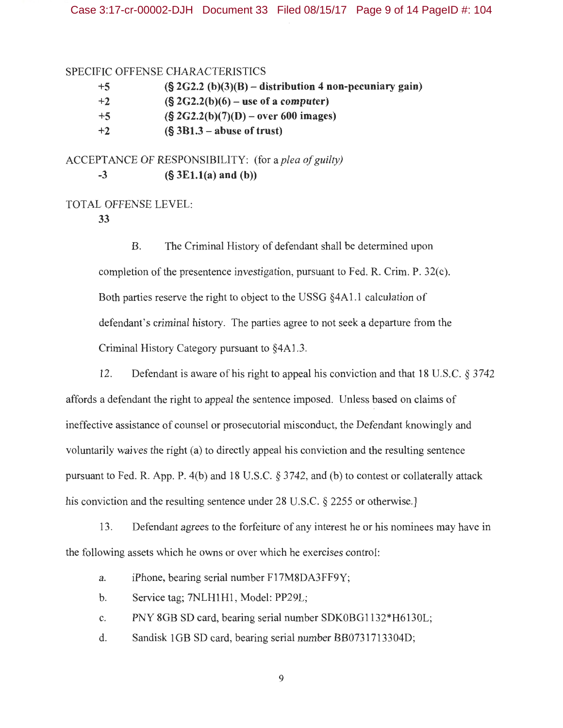### SPECIFIC OFFENSE CHARACTERISTICS

| +5               | $(S 2G2.2 (b)(3)(B) - distribution 4 non-pecuniary gain)$ |
|------------------|-----------------------------------------------------------|
| $^{\mathrm{+2}}$ | $(S \, 2G2.2(b)(6) -$ use of a computer)                  |
| +5               | $(S \, 2G2.2(b)(7)(D) - over 600 images)$                 |
| $+2$             | $(S 3B1.3 - abuse of trust)$                              |

ACCEPTANCE OF RESPONSIBILITY: (for a *plea of guilty)*  **-3 (§ 3El.l(a) and (b))** 

# TOTAL OFFENSE LEVEL:

**33** 

B. The Criminal History of defendant shall be determined upon completion of the presentence investigation, pursuant to Fed. R. Crim. P. 32(c). Both parties reserve the right to object to the USSG §4Al .1 calculation of defendant's criminal history. The parties agree to not seek a departure from the Criminal History Category pursuant to §4Al.3.

12. Defendant is aware of his right to appeal his conviction and that 18 U.S.C. § 3742 affords a defendant the right to appeal the sentence imposed. Unless based on claims of ineffective assistance of counsel or prosecutorial misconduct, the Defendant knowingly and voluntarily waives the right (a) to directly appeal his conviction and the resulting sentence pursuant to Fed. R. App. P. 4(b) and 18 U.S.C. § 3742, and (b) to contest or collaterally attack his conviction and the resulting sentence under 28 U.S.C. § 2255 or otherwise.

13. Defendant agrees to the forfeiture of any interest he or his nominees may have in the following assets which he owns or over which he exercises control:

a. iPhone, bearing serial number F17M8DA3FF9Y;

b. Service tag; 7NLH1H1, Model: PP29L;

c. PNY 8GB SD card, bearing serial number SDKOBG1132\*H6130L;

d. Sandisk 1 GB SD card, bearing serial number BB0731713304D;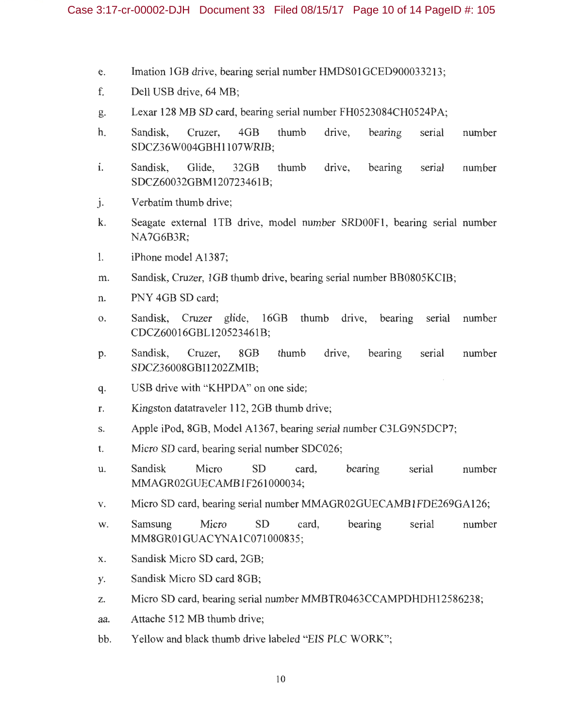- e. Imation 1GB drive, bearing serial number HMDS01GCED900033213;
- f. Dell USB drive, 64 MB;
- g. Lexar 128 MB SD card, bearing serial number FH0523084CH0524PA;
- h. Sandisk, Cruzer, 4GB thumb drive, bearing serial number SDCZ36W004GBH1107WRIB;
- 1. Sandisk, Glide, 32GB thumb drive, bearing serial number SDCZ60032GBM120723461B;
- j. Verbatim thumb drive;
- k. Seagate external 1TB drive, model number SRD00F1, bearing serial number NA7G6B3R;
- 1. iPhone model A1387;
- m. Sandisk, Cruzer, 1GB thumb drive, bearing serial number BB0805KCIB;
- n. PNY 4GB SD card;
- o. Sandisk, Cruzer glide, 16GB thumb drive, bearing serial number CDCZ60016GBL120523461B;
- p. Sandisk, Cruzer, 8GB thumb drive, bearing serial number SDCZ36008GBI1202ZMIB;
- q. USB drive with "KHPDA" on one side;
- r. Kingston datatraveler 112, 2GB thumb drive;
- s. Apple iPod, 8GB, Model A1367, bearing serial number C3LG9N5DCP7;
- t. Micro SD card, bearing serial number SDC026;
- u. Sandisk Micro SD card, bearing serial number MMAGR02GUECAMB 1F261000034;
- v. Micro SD card, bearing serial number MMAGR02GUECAMB1FDE269GA126;
- w. Samsung Micro SD card, bearing serial number MM8GR01GUACYNA1C071000835:
- x. Sandisk Micro SD card, 2GB;
- y. Sandisk Micro SD card 8GB;
- z. Micro SD card, bearing serial number MMBTR0463CCAMPDHDH12586238;
- aa. Attache 512 MB thumb drive;
- bb. Yellow and black thumb drive labeled "EIS PLC WORK";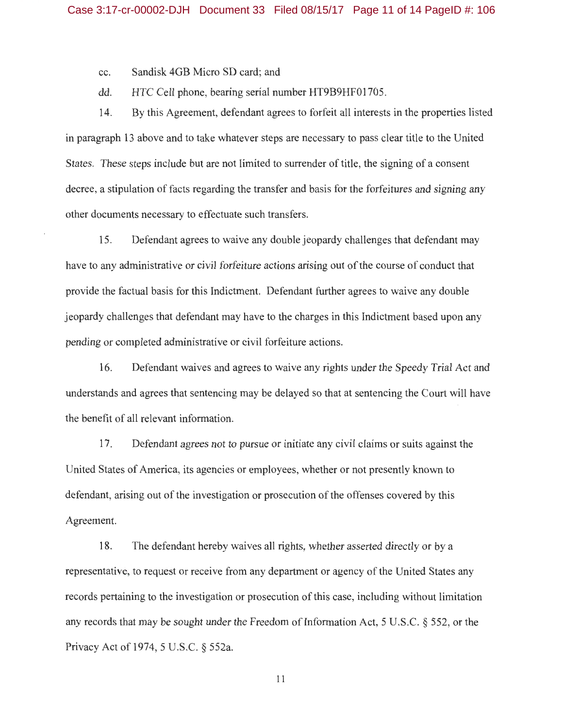cc. Sandisk 4GB Micro SD card; and

dd. HTC Cell phone, bearing serial number HT9B9HF01705.

14. By this Agreement, defendant agrees to forfeit all interests in the properties listed in paragraph 13 above and to take whatever steps are necessary to pass clear title to the United States. These steps include but are not limited to surrender of title, the signing of a consent decree, a stipulation of facts regarding the transfer and basis for the forfeitures and signing any other documents necessary to effectuate such transfers.

15. Defendant agrees to waive any double jeopardy challenges that defendant may have to any administrative or civil forfeiture actions arising out of the course of conduct that provide the factual basis for this Indictment. Defendant further agrees to waive any double jeopardy challenges that defendant may have to the charges in this Indictment based upon any pending or completed administrative or civil forfeiture actions.

16. Defendant waives and agrees to waive any rights under the Speedy Trial Act and understands and agrees that sentencing may be delayed so that at sentencing the Court will have the benefit of all relevant information.

17. Defendant agrees not to pursue or initiate any civil claims or suits against the United States of America, its agencies or employees, whether or not presently known to defendant, arising out of the investigation or prosecution of the offenses covered by this Agreement.

18. The defendant hereby waives all rights, whether asserted directly or by a representative, to request or receive from any department or agency of the United States any records pertaining to the investigation or prosecution of this case, including without limitation any records that may be sought under the Freedom of Information Act,  $5 \text{ U.S.C.}$  § 552, or the Privacy Act of 1974, 5 U.S.C. § 552a.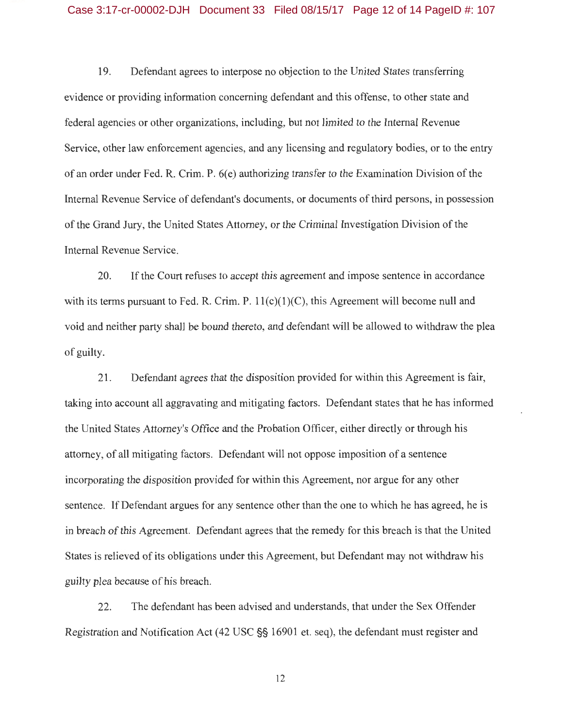## Case 3:17-cr-00002-DJH Document 33 Filed 08/15/17 Page 12 of 14 PageID #: 107

19. Defendant agrees to interpose no objection to the United States transferring evidence or providing information concerning defendant and this offense, to other state and federal agencies or other organizations, including, but not limited to the Internal Revenue Service, other law enforcement agencies, and any licensing and regulatory bodies, or to the entry of an order under Fed. R. Crim. P. 6( e) authorizing transfer to the Examination Division of the Internal Revenue Service of defendant's documents, or documents of third persons, in possession of the Grand Jury, the United States Attorney, or the Criminal Investigation Division of the Internal Revenue Service.

20. If the Court refuses to accept this agreement and impose sentence in accordance with its terms pursuant to Fed. R. Crim. P.  $11(c)(1)(C)$ , this Agreement will become null and void and neither party shall be bound thereto, and defendant will be allowed to withdraw the plea of guilty.

21. Defendant agrees that the disposition provided for within this Agreement is fair, taking into account all aggravating and mitigating factors. Defendant states that he has informed the United States Attorney's Office and the Probation Officer, either directly or through his attorney, of all mitigating factors. Defendant will not oppose imposition of a sentence incorporating the disposition provided for within this Agreement, nor argue for any other sentence. If Defendant argues for any sentence other than the one to which he has agreed, he is in breach of this Agreement. Defendant agrees that the remedy for this breach is that the United States is relieved of its obligations under this Agreement, but Defendant may not withdraw his guilty plea because of his breach.

22. The defendant has been advised and understands, that under the Sex Offender Registration and Notification Act (42 USC§§ 16901 et. seq), the defendant must register and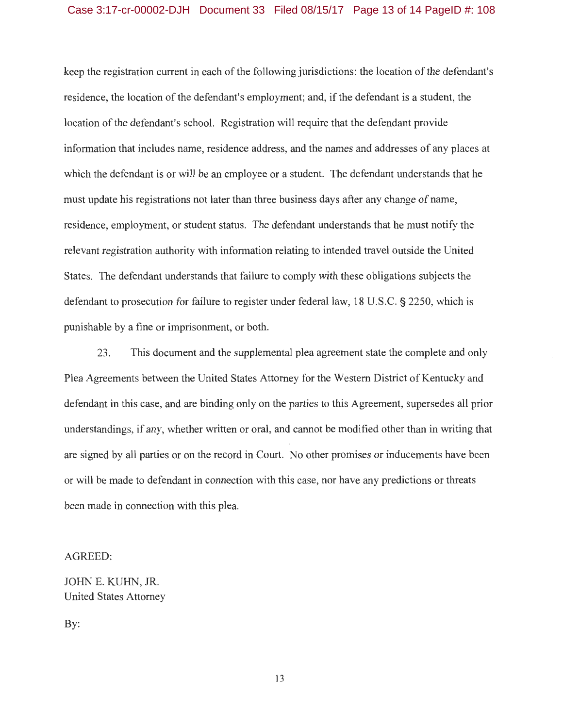## Case 3:17-cr-00002-DJH Document 33 Filed 08/15/17 Page 13 of 14 PageID #: 108

keep the registration current in each of the following jurisdictions: the location of the defendant's residence, the location of the defendant's employment; and, if the defendant is a student, the location of the defendant's school. Registration will require that the defendant provide information that includes name, residence address, and the names and addresses of any places at which the defendant is or will be an employee or a student. The defendant understands that he must update his registrations not later than three business days after any change of name, residence, employment, or student status. The defendant understands that he must notify the relevant registration authority with information relating to intended travel outside the United States. The defendant understands that failure to comply with these obligations subjects the defendant to prosecution for failure to register under federal law, 18 U.S.C. § 2250, which is punishable by a fine or imprisonment, or both.

23 . This document and the supplemental plea agreement state the complete and only Plea Agreements between the United States Attorney for the Western District of Kentucky and defendant in this case, and are binding only on the parties to this Agreement, supersedes all prior understandings, if any, whether written or oral, and cannot be modified other than in writing that are signed by all parties or on the record in Court. No other promises or inducements have been or will be made to defendant in connection with this case, nor have any predictions or threats been made in connection with this plea.

#### AGREED:

JOHN E. KUHN, JR. United States Attorney

By: